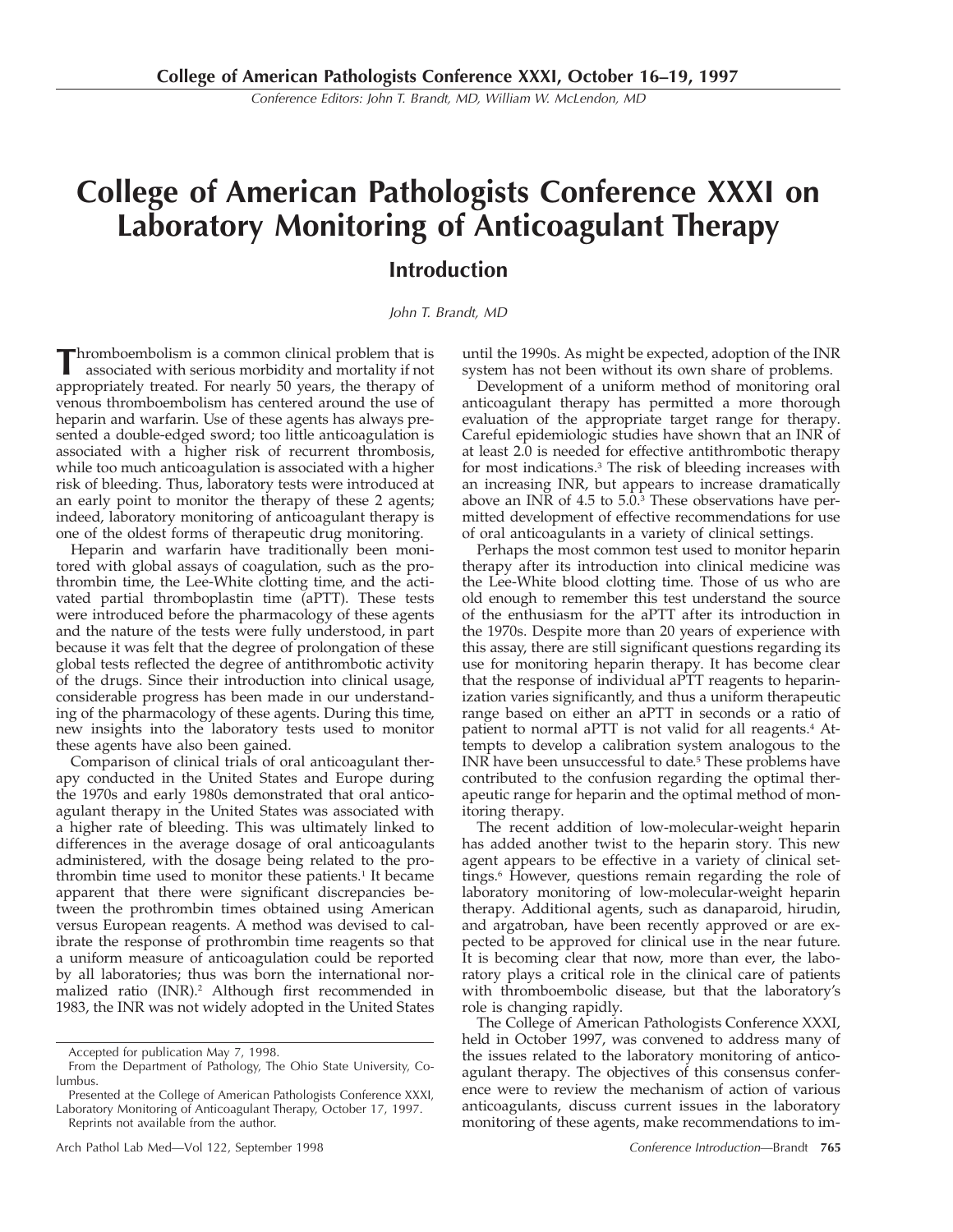Conference Editors: John T. Brandt, MD, William W. McLendon, MD

# **College of American Pathologists Conference XXXI on Laboratory Monitoring of Anticoagulant Therapy Introduction**

### John T. Brandt, MD

**T**hromboembolism is a common clinical problem that is associated with serious morbidity and mortality if not appropriately treated. For nearly 50 years, the therapy of venous thromboembolism has centered around the use of heparin and warfarin. Use of these agents has always presented a double-edged sword; too little anticoagulation is associated with a higher risk of recurrent thrombosis, while too much anticoagulation is associated with a higher risk of bleeding. Thus, laboratory tests were introduced at an early point to monitor the therapy of these 2 agents; indeed, laboratory monitoring of anticoagulant therapy is one of the oldest forms of therapeutic drug monitoring.

Heparin and warfarin have traditionally been monitored with global assays of coagulation, such as the prothrombin time, the Lee-White clotting time, and the activated partial thromboplastin time (aPTT). These tests were introduced before the pharmacology of these agents and the nature of the tests were fully understood, in part because it was felt that the degree of prolongation of these global tests reflected the degree of antithrombotic activity of the drugs. Since their introduction into clinical usage, considerable progress has been made in our understanding of the pharmacology of these agents. During this time, new insights into the laboratory tests used to monitor these agents have also been gained.

Comparison of clinical trials of oral anticoagulant therapy conducted in the United States and Europe during the 1970s and early 1980s demonstrated that oral anticoagulant therapy in the United States was associated with a higher rate of bleeding. This was ultimately linked to differences in the average dosage of oral anticoagulants administered, with the dosage being related to the prothrombin time used to monitor these patients.<sup>1</sup> It became apparent that there were significant discrepancies between the prothrombin times obtained using American versus European reagents. A method was devised to calibrate the response of prothrombin time reagents so that a uniform measure of anticoagulation could be reported by all laboratories; thus was born the international normalized ratio (INR).2 Although first recommended in 1983, the INR was not widely adopted in the United States

until the 1990s. As might be expected, adoption of the INR system has not been without its own share of problems.

Development of a uniform method of monitoring oral anticoagulant therapy has permitted a more thorough evaluation of the appropriate target range for therapy. Careful epidemiologic studies have shown that an INR of at least 2.0 is needed for effective antithrombotic therapy for most indications.3 The risk of bleeding increases with an increasing INR, but appears to increase dramatically above an INR of  $4.5$  to  $5.\overline{0.3}$  These observations have permitted development of effective recommendations for use of oral anticoagulants in a variety of clinical settings.

Perhaps the most common test used to monitor heparin therapy after its introduction into clinical medicine was the Lee-White blood clotting time. Those of us who are old enough to remember this test understand the source of the enthusiasm for the aPTT after its introduction in the 1970s. Despite more than 20 years of experience with this assay, there are still significant questions regarding its use for monitoring heparin therapy. It has become clear that the response of individual aPTT reagents to heparinization varies significantly, and thus a uniform therapeutic range based on either an aPTT in seconds or a ratio of patient to normal aPTT is not valid for all reagents.<sup>4</sup> Attempts to develop a calibration system analogous to the INR have been unsuccessful to date.<sup>5</sup> These problems have contributed to the confusion regarding the optimal therapeutic range for heparin and the optimal method of monitoring therapy.

The recent addition of low-molecular-weight heparin has added another twist to the heparin story. This new agent appears to be effective in a variety of clinical settings.<sup>6</sup> However, questions remain regarding the role of laboratory monitoring of low-molecular-weight heparin therapy. Additional agents, such as danaparoid, hirudin, and argatroban, have been recently approved or are expected to be approved for clinical use in the near future. It is becoming clear that now, more than ever, the laboratory plays a critical role in the clinical care of patients with thromboembolic disease, but that the laboratory's role is changing rapidly.

The College of American Pathologists Conference XXXI, held in October 1997, was convened to address many of the issues related to the laboratory monitoring of anticoagulant therapy. The objectives of this consensus conference were to review the mechanism of action of various anticoagulants, discuss current issues in the laboratory monitoring of these agents, make recommendations to im-

Accepted for publication May 7, 1998.

From the Department of Pathology, The Ohio State University, Columbus.

Presented at the College of American Pathologists Conference XXXI, Laboratory Monitoring of Anticoagulant Therapy, October 17, 1997. Reprints not available from the author.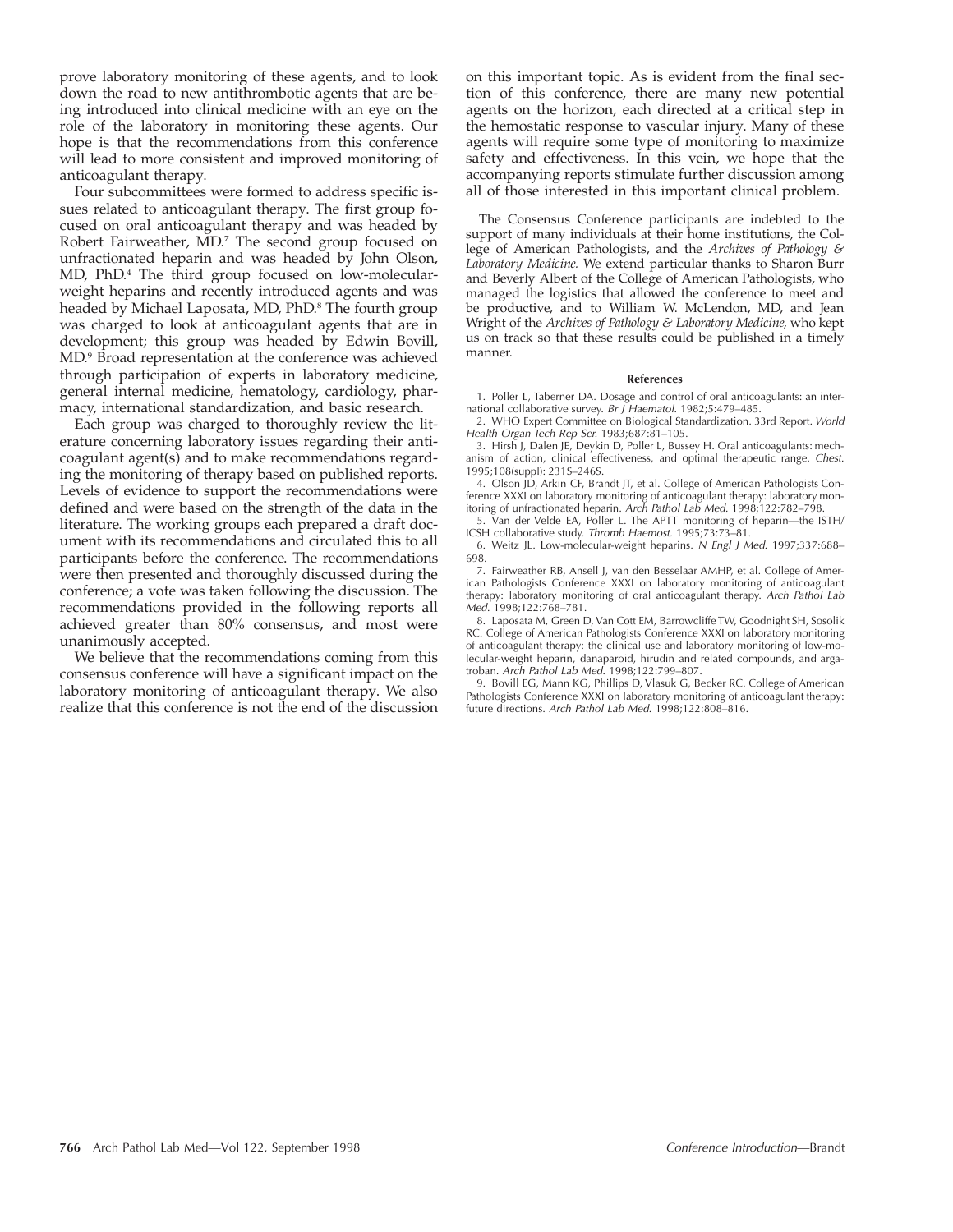prove laboratory monitoring of these agents, and to look down the road to new antithrombotic agents that are being introduced into clinical medicine with an eye on the role of the laboratory in monitoring these agents. Our hope is that the recommendations from this conference will lead to more consistent and improved monitoring of anticoagulant therapy.

Four subcommittees were formed to address specific issues related to anticoagulant therapy. The first group focused on oral anticoagulant therapy and was headed by Robert Fairweather, MD.<sup>7</sup> The second group focused on unfractionated heparin and was headed by John Olson, MD, PhD.4 The third group focused on low-molecularweight heparins and recently introduced agents and was headed by Michael Laposata, MD, PhD.<sup>8</sup> The fourth group was charged to look at anticoagulant agents that are in development; this group was headed by Edwin Bovill, MD.9 Broad representation at the conference was achieved through participation of experts in laboratory medicine, general internal medicine, hematology, cardiology, pharmacy, international standardization, and basic research.

Each group was charged to thoroughly review the literature concerning laboratory issues regarding their anticoagulant agent(s) and to make recommendations regarding the monitoring of therapy based on published reports. Levels of evidence to support the recommendations were defined and were based on the strength of the data in the literature. The working groups each prepared a draft document with its recommendations and circulated this to all participants before the conference. The recommendations were then presented and thoroughly discussed during the conference; a vote was taken following the discussion. The recommendations provided in the following reports all achieved greater than 80% consensus, and most were unanimously accepted.

We believe that the recommendations coming from this consensus conference will have a significant impact on the laboratory monitoring of anticoagulant therapy. We also realize that this conference is not the end of the discussion

on this important topic. As is evident from the final section of this conference, there are many new potential agents on the horizon, each directed at a critical step in the hemostatic response to vascular injury. Many of these agents will require some type of monitoring to maximize safety and effectiveness. In this vein, we hope that the accompanying reports stimulate further discussion among all of those interested in this important clinical problem.

The Consensus Conference participants are indebted to the support of many individuals at their home institutions, the College of American Pathologists, and the *Archives of Pathology & Laboratory Medicine.* We extend particular thanks to Sharon Burr and Beverly Albert of the College of American Pathologists, who managed the logistics that allowed the conference to meet and be productive, and to William W. McLendon, MD, and Jean Wright of the *Archives of Pathology & Laboratory Medicine,* who kept us on track so that these results could be published in a timely manner.

#### **References**

1. Poller L, Taberner DA. Dosage and control of oral anticoagulants: an international collaborative survey. Br J Haematol. 1982;5:479-485

2. WHO Expert Committee on Biological Standardization. 33rd Report. World Health Organ Tech Rep Ser. 1983;687:81–105.

3. Hirsh J, Dalen JE, Deykin D, Poller L, Bussey H. Oral anticoagulants: mechanism of action, clinical effectiveness, and optimal therapeutic range. Chest. 1995;108(suppl): 231S–246S.

4. Olson JD, Arkin CF, Brandt JT, et al. College of American Pathologists Conference XXXI on laboratory monitoring of anticoagulant therapy: laboratory monitoring of unfractionated heparin. Arch Pathol Lab Med. 1998;122:782–798.

5. Van der Velde EA, Poller L. The APTT monitoring of heparin—the ISTH/ ICSH collaborative study. Thromb Haemost. 1995;73:73–81.

6. Weitz JL. Low-molecular-weight heparins. N Engl J Med. 1997;337:688-698.

7. Fairweather RB, Ansell J, van den Besselaar AMHP, et al. College of American Pathologists Conference XXXI on laboratory monitoring of anticoagulant therapy: laboratory monitoring of oral anticoagulant therapy. Arch Pathol Lab Med. 1998;122:768–781.

8. Laposata M, Green D, Van Cott EM, Barrowcliffe TW, Goodnight SH, Sosolik RC. College of American Pathologists Conference XXXI on laboratory monitoring of anticoagulant therapy: the clinical use and laboratory monitoring of low-molecular-weight heparin, danaparoid, hirudin and related compounds, and arga-<br>troban. *Arch Pathol Lab Med.* 1998;122:799–807.

9. Bovill EG, Mann KG, Phillips D, Vlasuk G, Becker RC. College of American Pathologists Conference XXXI on laboratory monitoring of anticoagulant therapy: future directions. Arch Pathol Lab Med. 1998;122:808–816.